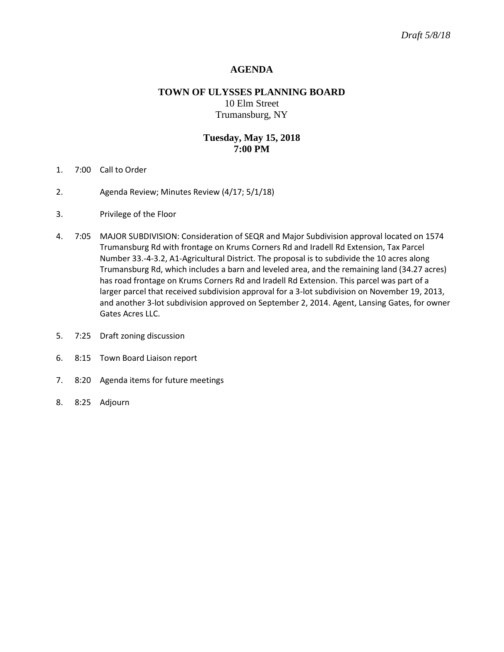## **AGENDA**

# **TOWN OF ULYSSES PLANNING BOARD** 10 Elm Street Trumansburg, NY

### **Tuesday, May 15, 2018 7:00 PM**

- 1. 7:00 Call to Order
- 2. Agenda Review; Minutes Review (4/17; 5/1/18)
- 3. Privilege of the Floor
- 4. 7:05 MAJOR SUBDIVISION: Consideration of SEQR and Major Subdivision approval located on 1574 Trumansburg Rd with frontage on Krums Corners Rd and Iradell Rd Extension, Tax Parcel Number 33.-4-3.2, A1-Agricultural District. The proposal is to subdivide the 10 acres along Trumansburg Rd, which includes a barn and leveled area, and the remaining land (34.27 acres) has road frontage on Krums Corners Rd and Iradell Rd Extension. This parcel was part of a larger parcel that received subdivision approval for a 3-lot subdivision on November 19, 2013, and another 3-lot subdivision approved on September 2, 2014. Agent, Lansing Gates, for owner Gates Acres LLC.
- 5. 7:25 Draft zoning discussion
- 6. 8:15 Town Board Liaison report
- 7. 8:20 Agenda items for future meetings
- 8. 8:25 Adjourn